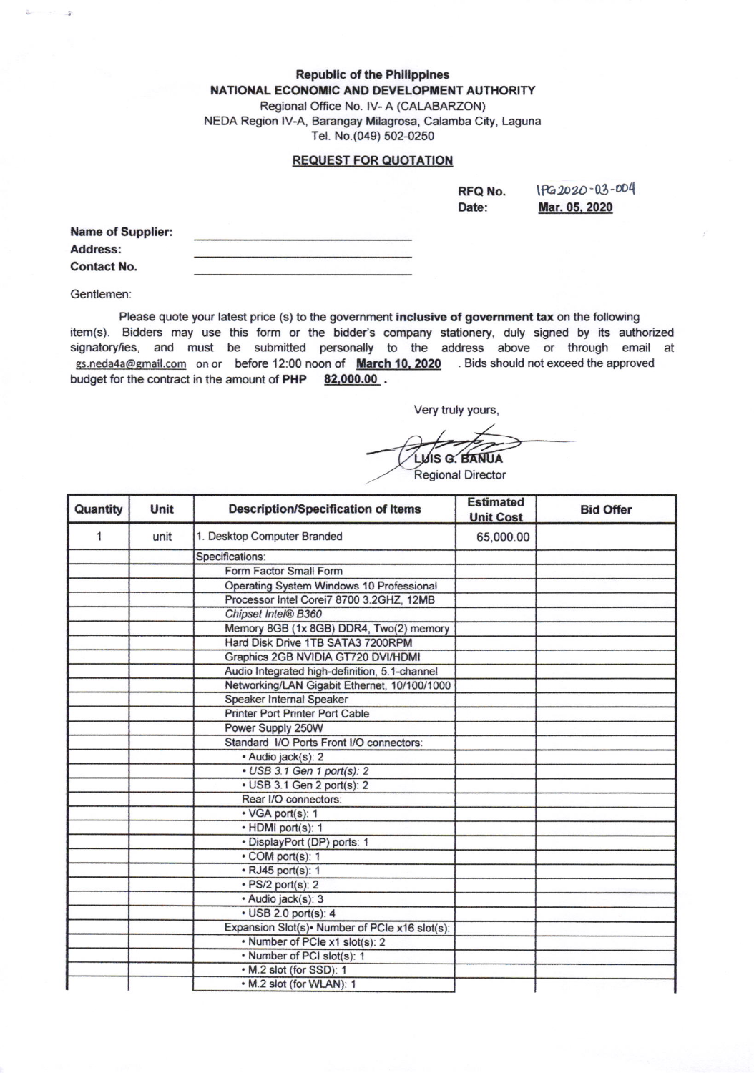## **Republic of the Philippines** NATIONAL ECONOMIC AND DEVELOPMENT AUTHORITY

Regional Office No, lV- A (CALABARZON) NEDA Region lV-A, Barangay Milagrosa, Calamba City, Laguna Tel. No.(049) 502-0250

## REQUEST FOR OUOTATION

RFQ No. Date:

\rc.lD2O'03-@4 Mar. 05. 2020

| <b>Name of Supplier:</b> |  |
|--------------------------|--|
| Address:                 |  |
| <b>Contact No.</b>       |  |

Gentlemen

Please quote your latest price (s) to the government inclusive of government tax on the following item(s). Bidders may use this form or the bidder's company stationery, duly signed by its authorized signatory/ies, and must be submitted personally to the address above or through email at gs.neda4a@gmail.com on or before 12:00 noon of March 10, 2020 . Bids should not exceed the approved budget for the contract in the amount of PHP 82,000.00.

Very truly yours,

**VIS G. BANUA Regional Director** 

| Quantity | Unit | <b>Description/Specification of Items</b>       | <b>Estimated</b><br><b>Unit Cost</b> | <b>Bid Offer</b> |
|----------|------|-------------------------------------------------|--------------------------------------|------------------|
| 1        | unit | 1. Desktop Computer Branded                     | 65,000.00                            |                  |
|          |      | Specifications:                                 |                                      |                  |
|          |      | Form Factor Small Form                          |                                      |                  |
|          |      | Operating System Windows 10 Professional        |                                      |                  |
|          |      | Processor Intel Corei7 8700 3.2GHZ, 12MB        |                                      |                  |
|          |      | Chipset Intel® B360                             |                                      |                  |
|          |      | Memory 8GB (1x 8GB) DDR4, Two(2) memory         |                                      |                  |
|          |      | Hard Disk Drive 1TB SATA3 7200RPM               |                                      |                  |
|          |      | Graphics 2GB NVIDIA GT720 DVI/HDMI              |                                      |                  |
|          |      | Audio Integrated high-definition, 5.1-channel   |                                      |                  |
|          |      | Networking/LAN Gigabit Ethernet, 10/100/1000    |                                      |                  |
|          |      | Speaker Internal Speaker                        |                                      |                  |
|          |      | Printer Port Printer Port Cable                 |                                      |                  |
|          |      | Power Supply 250W                               |                                      |                  |
|          |      | Standard I/O Ports Front I/O connectors:        |                                      |                  |
|          |      | · Audio jack(s): 2                              |                                      |                  |
|          |      | • USB 3.1 Gen 1 port(s): 2                      |                                      |                  |
|          |      | • USB 3.1 Gen 2 port(s): 2                      |                                      |                  |
|          |      | Rear I/O connectors:                            |                                      |                  |
|          |      | · VGA port(s): 1                                |                                      |                  |
|          |      | · HDMI port(s): 1                               |                                      |                  |
|          |      | · DisplayPort (DP) ports: 1                     |                                      |                  |
|          |      | • COM port(s): 1                                |                                      |                  |
|          |      | • RJ45 port(s): 1                               |                                      |                  |
|          |      | $\cdot$ PS/2 port(s): 2                         |                                      |                  |
|          |      | · Audio jack(s): 3                              |                                      |                  |
|          |      | $\cdot$ USB 2.0 port(s): 4                      |                                      |                  |
|          |      | Expansion Slot(s) · Number of PCIe x16 slot(s): |                                      |                  |
|          |      | • Number of PCIe x1 slot(s): 2                  |                                      |                  |
|          |      | • Number of PCI slot(s): 1                      |                                      |                  |
|          |      | • M.2 slot (for SSD): 1                         |                                      |                  |
|          |      | • M.2 slot (for WLAN): 1                        |                                      |                  |